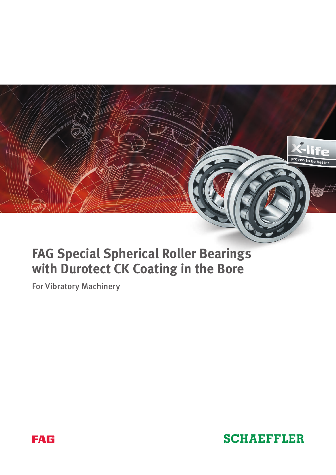

# **FAG Special Spherical Roller Bearings with Durotect CK Coating in the Bore**

For Vibratory Machinery



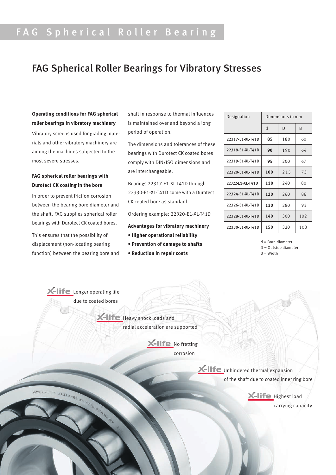# FAG Spherical Roller Bearing

## FAG Spherical Roller Bearings for Vibratory Stresses

## **Operating conditions for FAG spherical roller bearings in vibratory machinery**

Vibratory screens used for grading materials and other vibratory machinery are among the machines subjected to the most severe stresses.

### **FAG spherical roller bearings with Durotect CK coating in the bore**

In order to prevent friction corrosion between the bearing bore diameter and the shaft, FAG supplies spherical roller bearings with Durotect CK coated bores.

This ensures that the possibility of displacement (non-locating bearing function) between the bearing bore and shaft in response to thermal influences is maintained over and beyond a long period of operation.

The dimensions and tolerances of these bearings with Durotect CK coated bores comply with DIN/ISO dimensions and are interchangeable.

Bearings 22317-E1-XL-T41D through 22330-E1-XL-T41D come with a Durotect CK coated bore as standard.

Ordering example: 22320-E1-XL-T41D

**Advantages for vibratory machinery**

- **Higher operational reliability**
- **Prevention of damage to shafts**
- **Reduction in repair costs**

| Designation      | Dimensions in mm |     |              |
|------------------|------------------|-----|--------------|
|                  | d                | D   | <sub>R</sub> |
| 22317-E1-XL-T41D | 85               | 180 | 60           |
| 22318-E1-XL-T41D | 90               | 190 | 64           |
| 22319-E1-XL-T41D | 95               | 200 | 67           |
| 22320-E1-XL-T41D | 100              | 215 | 73           |
| 22322-E1-XL-T41D | 110              | 240 | 80           |
| 22324-E1-XL-T41D | 120              | 260 | 86           |
| 22326-E1-XL-T41D | 130              | 280 | 93           |
| 22328-E1-XL-T41D | 140              | 300 | 102          |
| 22330-E1-XL-T41D | 150              | 320 | 108          |

d = Bore diameter D = Outside diameter

B = Width

**Life** Longer operating life due to coated bores

> $H =$  Heavy shock loads and radial acceleration are supported

> > $X$ -life No fretting corrosion

> > > **X-life** Unhindered thermal expansion of the shaft due to coated inner ring bore

 $22322 - E<sub>1</sub>$ 

 $-Hie$  Highest load carrying capacity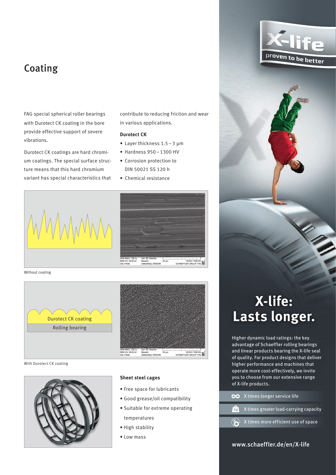## Coating

FAG special spherical roller bearings with Durotect CK coating in the bore provide effective support of severe vibrations.

Durotect CK coatings are hard chromium coatings. The special surface structure means that this hard chromium variant has special characteristics that contribute to reducing friction and wear in various applications.

VEGAN TES

#### **Durotect CK**

- Layer thickness 1.5–3 μm
- Hardness 950–1300 HV
- Corrosion protection to DIN 50021 SS 120 h
- Chemical resistance



Without coating



With Durotect CK coating



#### **Sheet steel cages**

- Free space for lubricants
- Good grease/oil compatibility
- Suitable for extreme operating temperatures
- High stability
- Low mass

# **X-life: Lasts longer.**

Higher dynamic load ratings: the key advantage of Schaeffler rolling bearings and linear products bearing the X-life seal of quality. For product designs that deliver higher performance and machines that operate more cost-effectively, we invite you to choose from our extensive range of X-life products.

| OO X times longer service life                                   |
|------------------------------------------------------------------|
| <b>Repondition</b> X times greater load-carrying capacity        |
| $\overrightarrow{(\bullet)}$ X times more efficient use of space |

#### www.schaeffler.de/en/X-life